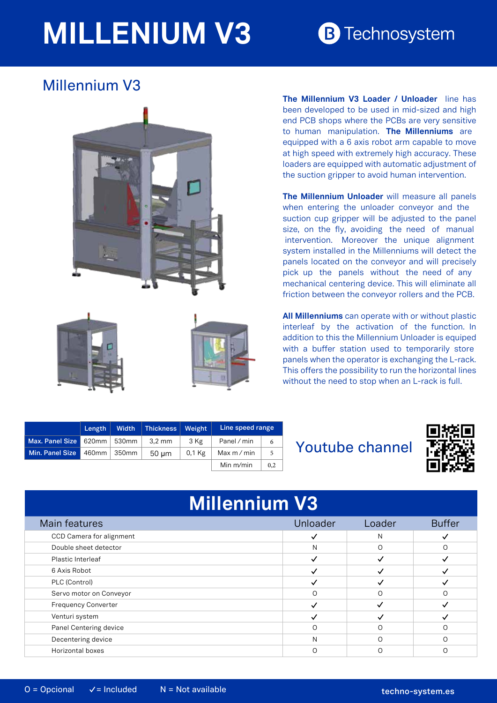## **MILLENIUM V3**

## **B** Technosystem

## Millennium V3





**The Millennium V3 Loader / Unloader** line has been developed to be used in mid-sized and high end PCB shops where the PCBs are very sensitive to human manipulation. **The Millenniums** are equipped with a 6 axis robot arm capable to move at high speed with extremely high accuracy. These loaders are equipped with automatic adjustment of the suction gripper to avoid human intervention.

**The Millennium Unloader** will measure all panels when entering the unloader conveyor and the suction cup gripper will be adjusted to the panel size, on the fly, avoiding the need of manual intervention. Moreover the unique alignment system installed in the Millenniums will detect the panels located on the conveyor and will precisely pick up the panels without the need of any mechanical centering device. This will eliminate all friction between the conveyor rollers and the PCB.

**All Millenniums** can operate with or without plastic interleaf by the activation of the function. In addition to this the Millennium Unloader is equiped with a buffer station used to temporarily store panels when the operator is exchanging the L-rack. This offers the possibility to run the horizontal lines without the need to stop when an L-rack is full.

|                 | Length        | Width         | Thickness  | Weight | Line speed range |     |
|-----------------|---------------|---------------|------------|--------|------------------|-----|
| Max. Panel Size | 620mm   530mm |               | 3.2 mm     | 3 Kg   | Panel / min      | 6   |
| Min. Panel Size |               | 460mm   350mm | $50 \mu m$ | 0,1 Kg | Max m / min      | 5   |
|                 |               |               |            |        | Min $m/min$      | 0.2 |

Youtube channel



| <b>Millennium V3</b>       |          |              |               |  |  |  |  |
|----------------------------|----------|--------------|---------------|--|--|--|--|
| Main features              | Unloader | Loader       | <b>Buffer</b> |  |  |  |  |
| CCD Camera for alignment   |          | N            |               |  |  |  |  |
| Double sheet detector      | N        | $\Omega$     | ∩             |  |  |  |  |
| Plastic Interleaf          |          |              |               |  |  |  |  |
| 6 Axis Robot               |          |              |               |  |  |  |  |
| PLC (Control)              |          | V            |               |  |  |  |  |
| Servo motor on Conveyor    | ∩        | ∩            |               |  |  |  |  |
| <b>Frequency Converter</b> |          | $\checkmark$ |               |  |  |  |  |
| Venturi system             |          |              |               |  |  |  |  |
| Panel Centering device     | $\Omega$ | $\Omega$     |               |  |  |  |  |
| Decentering device         | N        | $\Omega$     |               |  |  |  |  |
| Horizontal boxes           | Ω        | ∩            |               |  |  |  |  |